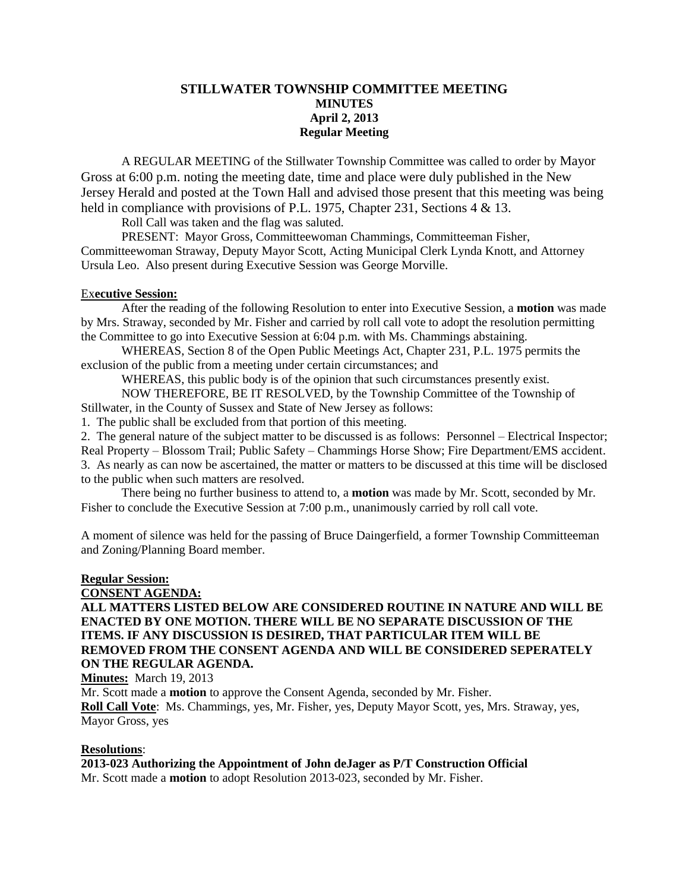# **STILLWATER TOWNSHIP COMMITTEE MEETING MINUTES April 2, 2013 Regular Meeting**

A REGULAR MEETING of the Stillwater Township Committee was called to order by Mayor Gross at 6:00 p.m. noting the meeting date, time and place were duly published in the New Jersey Herald and posted at the Town Hall and advised those present that this meeting was being held in compliance with provisions of P.L. 1975, Chapter 231, Sections 4 & 13.

Roll Call was taken and the flag was saluted.

PRESENT: Mayor Gross, Committeewoman Chammings, Committeeman Fisher, Committeewoman Straway, Deputy Mayor Scott, Acting Municipal Clerk Lynda Knott, and Attorney Ursula Leo. Also present during Executive Session was George Morville.

## Ex**ecutive Session:**

After the reading of the following Resolution to enter into Executive Session, a **motion** was made by Mrs. Straway, seconded by Mr. Fisher and carried by roll call vote to adopt the resolution permitting the Committee to go into Executive Session at 6:04 p.m. with Ms. Chammings abstaining.

WHEREAS, Section 8 of the Open Public Meetings Act, Chapter 231, P.L. 1975 permits the exclusion of the public from a meeting under certain circumstances; and

WHEREAS, this public body is of the opinion that such circumstances presently exist.

NOW THEREFORE, BE IT RESOLVED, by the Township Committee of the Township of

Stillwater, in the County of Sussex and State of New Jersey as follows:

1. The public shall be excluded from that portion of this meeting.

2. The general nature of the subject matter to be discussed is as follows: Personnel – Electrical Inspector;

Real Property – Blossom Trail; Public Safety – Chammings Horse Show; Fire Department/EMS accident.

3. As nearly as can now be ascertained, the matter or matters to be discussed at this time will be disclosed to the public when such matters are resolved.

There being no further business to attend to, a **motion** was made by Mr. Scott, seconded by Mr. Fisher to conclude the Executive Session at 7:00 p.m., unanimously carried by roll call vote.

A moment of silence was held for the passing of Bruce Daingerfield, a former Township Committeeman and Zoning/Planning Board member.

#### **Regular Session:**

#### **CONSENT AGENDA:**

**ALL MATTERS LISTED BELOW ARE CONSIDERED ROUTINE IN NATURE AND WILL BE ENACTED BY ONE MOTION. THERE WILL BE NO SEPARATE DISCUSSION OF THE ITEMS. IF ANY DISCUSSION IS DESIRED, THAT PARTICULAR ITEM WILL BE REMOVED FROM THE CONSENT AGENDA AND WILL BE CONSIDERED SEPERATELY ON THE REGULAR AGENDA.**

**Minutes:** March 19, 2013

Mr. Scott made a **motion** to approve the Consent Agenda, seconded by Mr. Fisher.

**Roll Call Vote**: Ms. Chammings, yes, Mr. Fisher, yes, Deputy Mayor Scott, yes, Mrs. Straway, yes, Mayor Gross, yes

## **Resolutions**:

**2013-023 Authorizing the Appointment of John deJager as P/T Construction Official** Mr. Scott made a **motion** to adopt Resolution 2013-023, seconded by Mr. Fisher.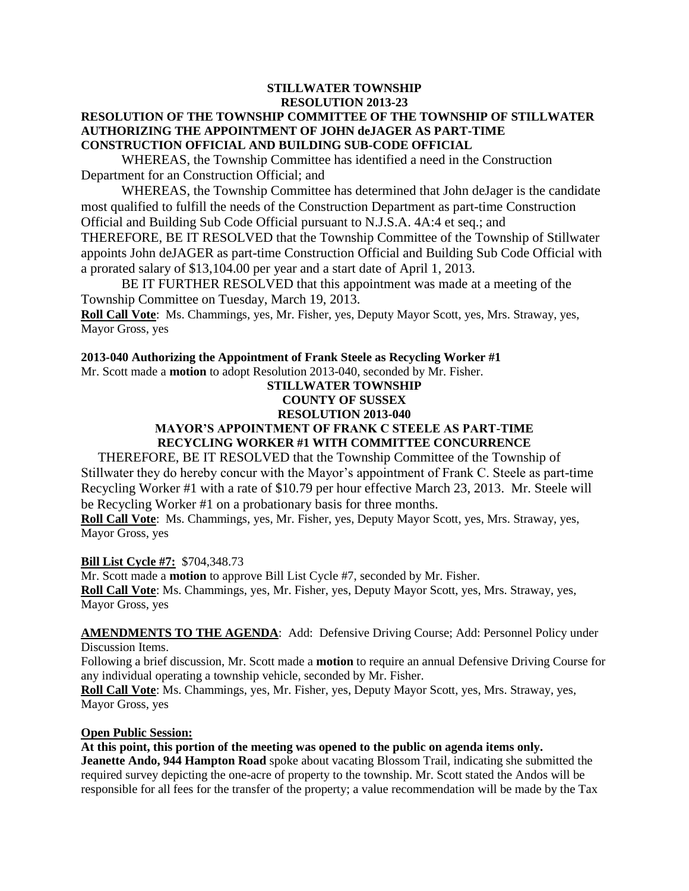## **STILLWATER TOWNSHIP RESOLUTION 2013-23 RESOLUTION OF THE TOWNSHIP COMMITTEE OF THE TOWNSHIP OF STILLWATER AUTHORIZING THE APPOINTMENT OF JOHN deJAGER AS PART-TIME CONSTRUCTION OFFICIAL AND BUILDING SUB-CODE OFFICIAL**

WHEREAS, the Township Committee has identified a need in the Construction Department for an Construction Official; and

WHEREAS, the Township Committee has determined that John deJager is the candidate most qualified to fulfill the needs of the Construction Department as part-time Construction Official and Building Sub Code Official pursuant to N.J.S.A. 4A:4 et seq.; and THEREFORE, BE IT RESOLVED that the Township Committee of the Township of Stillwater appoints John deJAGER as part-time Construction Official and Building Sub Code Official with a prorated salary of \$13,104.00 per year and a start date of April 1, 2013.

BE IT FURTHER RESOLVED that this appointment was made at a meeting of the Township Committee on Tuesday, March 19, 2013.

**Roll Call Vote**: Ms. Chammings, yes, Mr. Fisher, yes, Deputy Mayor Scott, yes, Mrs. Straway, yes, Mayor Gross, yes

# **2013-040 Authorizing the Appointment of Frank Steele as Recycling Worker #1**

Mr. Scott made a **motion** to adopt Resolution 2013-040, seconded by Mr. Fisher.

#### **STILLWATER TOWNSHIP COUNTY OF SUSSEX**

## **RESOLUTION 2013-040**

#### **MAYOR'S APPOINTMENT OF FRANK C STEELE AS PART-TIME RECYCLING WORKER #1 WITH COMMITTEE CONCURRENCE**

 THEREFORE, BE IT RESOLVED that the Township Committee of the Township of Stillwater they do hereby concur with the Mayor's appointment of Frank C. Steele as part-time Recycling Worker #1 with a rate of \$10.79 per hour effective March 23, 2013. Mr. Steele will be Recycling Worker #1 on a probationary basis for three months.

**Roll Call Vote**: Ms. Chammings, yes, Mr. Fisher, yes, Deputy Mayor Scott, yes, Mrs. Straway, yes, Mayor Gross, yes

## **Bill List Cycle #7:** \$704,348.73

Mr. Scott made a **motion** to approve Bill List Cycle #7, seconded by Mr. Fisher. **Roll Call Vote**: Ms. Chammings, yes, Mr. Fisher, yes, Deputy Mayor Scott, yes, Mrs. Straway, yes, Mayor Gross, yes

## **AMENDMENTS TO THE AGENDA**: Add: Defensive Driving Course; Add: Personnel Policy under Discussion Items.

Following a brief discussion, Mr. Scott made a **motion** to require an annual Defensive Driving Course for any individual operating a township vehicle, seconded by Mr. Fisher.

**Roll Call Vote**: Ms. Chammings, yes, Mr. Fisher, yes, Deputy Mayor Scott, yes, Mrs. Straway, yes, Mayor Gross, yes

## **Open Public Session:**

**At this point, this portion of the meeting was opened to the public on agenda items only. Jeanette Ando, 944 Hampton Road** spoke about vacating Blossom Trail, indicating she submitted the required survey depicting the one-acre of property to the township. Mr. Scott stated the Andos will be

responsible for all fees for the transfer of the property; a value recommendation will be made by the Tax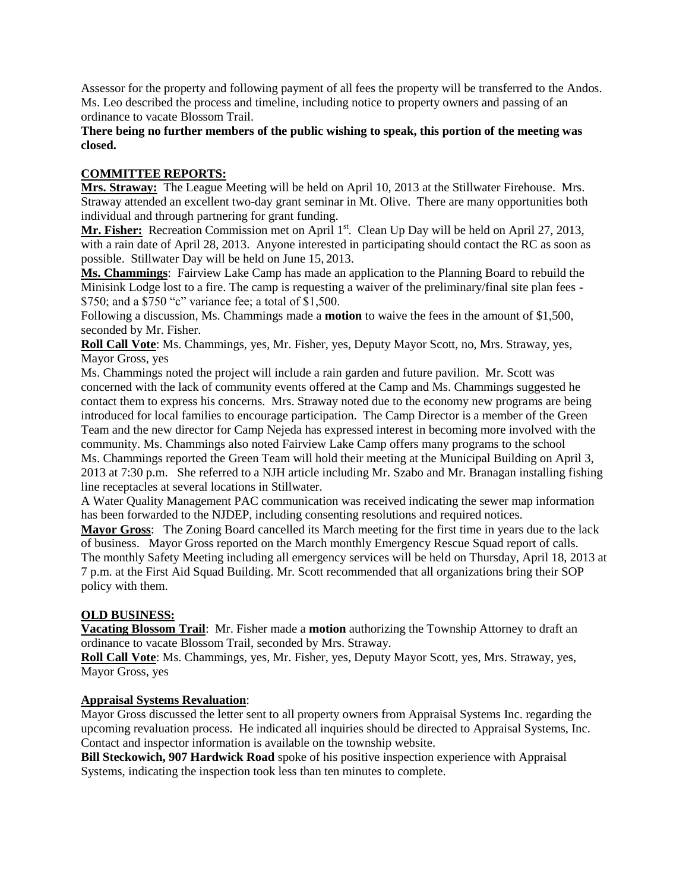Assessor for the property and following payment of all fees the property will be transferred to the Andos. Ms. Leo described the process and timeline, including notice to property owners and passing of an ordinance to vacate Blossom Trail.

# **There being no further members of the public wishing to speak, this portion of the meeting was closed.**

# **COMMITTEE REPORTS:**

**Mrs. Straway:** The League Meeting will be held on April 10, 2013 at the Stillwater Firehouse. Mrs. Straway attended an excellent two-day grant seminar in Mt. Olive. There are many opportunities both individual and through partnering for grant funding.

Mr. Fisher: Recreation Commission met on April 1<sup>st</sup>. Clean Up Day will be held on April 27, 2013, with a rain date of April 28, 2013. Anyone interested in participating should contact the RC as soon as possible. Stillwater Day will be held on June 15, 2013.

**Ms. Chammings**: Fairview Lake Camp has made an application to the Planning Board to rebuild the Minisink Lodge lost to a fire. The camp is requesting a waiver of the preliminary/final site plan fees - \$750; and a \$750 "c" variance fee; a total of \$1,500.

Following a discussion, Ms. Chammings made a **motion** to waive the fees in the amount of \$1,500, seconded by Mr. Fisher.

**Roll Call Vote**: Ms. Chammings, yes, Mr. Fisher, yes, Deputy Mayor Scott, no, Mrs. Straway, yes, Mayor Gross, yes

Ms. Chammings noted the project will include a rain garden and future pavilion. Mr. Scott was concerned with the lack of community events offered at the Camp and Ms. Chammings suggested he contact them to express his concerns. Mrs. Straway noted due to the economy new programs are being introduced for local families to encourage participation. The Camp Director is a member of the Green Team and the new director for Camp Nejeda has expressed interest in becoming more involved with the community. Ms. Chammings also noted Fairview Lake Camp offers many programs to the school Ms. Chammings reported the Green Team will hold their meeting at the Municipal Building on April 3, 2013 at 7:30 p.m. She referred to a NJH article including Mr. Szabo and Mr. Branagan installing fishing line receptacles at several locations in Stillwater.

A Water Quality Management PAC communication was received indicating the sewer map information has been forwarded to the NJDEP, including consenting resolutions and required notices.

**Mayor Gross**: The Zoning Board cancelled its March meeting for the first time in years due to the lack of business. Mayor Gross reported on the March monthly Emergency Rescue Squad report of calls. The monthly Safety Meeting including all emergency services will be held on Thursday, April 18, 2013 at 7 p.m. at the First Aid Squad Building. Mr. Scott recommended that all organizations bring their SOP policy with them.

# **OLD BUSINESS:**

**Vacating Blossom Trail**: Mr. Fisher made a **motion** authorizing the Township Attorney to draft an ordinance to vacate Blossom Trail, seconded by Mrs. Straway.

**Roll Call Vote**: Ms. Chammings, yes, Mr. Fisher, yes, Deputy Mayor Scott, yes, Mrs. Straway, yes, Mayor Gross, yes

## **Appraisal Systems Revaluation**:

Mayor Gross discussed the letter sent to all property owners from Appraisal Systems Inc. regarding the upcoming revaluation process. He indicated all inquiries should be directed to Appraisal Systems, Inc. Contact and inspector information is available on the township website.

**Bill Steckowich, 907 Hardwick Road** spoke of his positive inspection experience with Appraisal Systems, indicating the inspection took less than ten minutes to complete.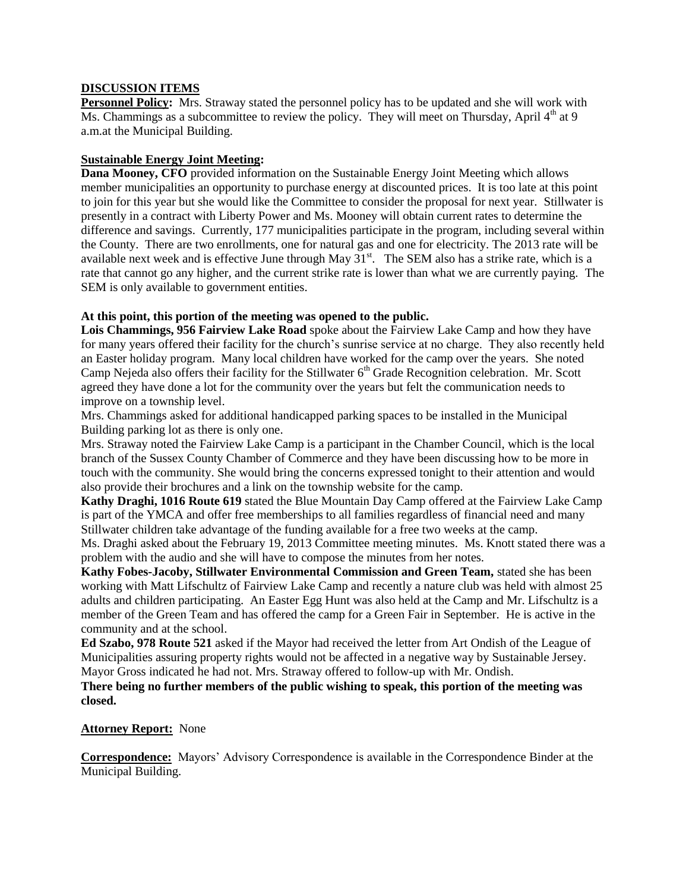## **DISCUSSION ITEMS**

**Personnel Policy:** Mrs. Straway stated the personnel policy has to be updated and she will work with Ms. Chammings as a subcommittee to review the policy. They will meet on Thursday, April  $4<sup>th</sup>$  at 9 a.m.at the Municipal Building.

# **Sustainable Energy Joint Meeting:**

**Dana Mooney, CFO** provided information on the Sustainable Energy Joint Meeting which allows member municipalities an opportunity to purchase energy at discounted prices. It is too late at this point to join for this year but she would like the Committee to consider the proposal for next year. Stillwater is presently in a contract with Liberty Power and Ms. Mooney will obtain current rates to determine the difference and savings. Currently, 177 municipalities participate in the program, including several within the County. There are two enrollments, one for natural gas and one for electricity. The 2013 rate will be available next week and is effective June through May  $31<sup>st</sup>$ . The SEM also has a strike rate, which is a rate that cannot go any higher, and the current strike rate is lower than what we are currently paying. The SEM is only available to government entities.

# **At this point, this portion of the meeting was opened to the public.**

**Lois Chammings, 956 Fairview Lake Road** spoke about the Fairview Lake Camp and how they have for many years offered their facility for the church's sunrise service at no charge. They also recently held an Easter holiday program. Many local children have worked for the camp over the years. She noted Camp Nejeda also offers their facility for the Stillwater  $6<sup>th</sup>$  Grade Recognition celebration. Mr. Scott agreed they have done a lot for the community over the years but felt the communication needs to improve on a township level.

Mrs. Chammings asked for additional handicapped parking spaces to be installed in the Municipal Building parking lot as there is only one.

Mrs. Straway noted the Fairview Lake Camp is a participant in the Chamber Council, which is the local branch of the Sussex County Chamber of Commerce and they have been discussing how to be more in touch with the community. She would bring the concerns expressed tonight to their attention and would also provide their brochures and a link on the township website for the camp.

**Kathy Draghi, 1016 Route 619** stated the Blue Mountain Day Camp offered at the Fairview Lake Camp is part of the YMCA and offer free memberships to all families regardless of financial need and many Stillwater children take advantage of the funding available for a free two weeks at the camp.

Ms. Draghi asked about the February 19, 2013 Committee meeting minutes. Ms. Knott stated there was a problem with the audio and she will have to compose the minutes from her notes.

**Kathy Fobes-Jacoby, Stillwater Environmental Commission and Green Team,** stated she has been working with Matt Lifschultz of Fairview Lake Camp and recently a nature club was held with almost 25 adults and children participating. An Easter Egg Hunt was also held at the Camp and Mr. Lifschultz is a member of the Green Team and has offered the camp for a Green Fair in September. He is active in the community and at the school.

**Ed Szabo, 978 Route 521** asked if the Mayor had received the letter from Art Ondish of the League of Municipalities assuring property rights would not be affected in a negative way by Sustainable Jersey. Mayor Gross indicated he had not. Mrs. Straway offered to follow-up with Mr. Ondish.

**There being no further members of the public wishing to speak, this portion of the meeting was closed.**

## **Attorney Report:** None

**Correspondence:** Mayors' Advisory Correspondence is available in the Correspondence Binder at the Municipal Building.